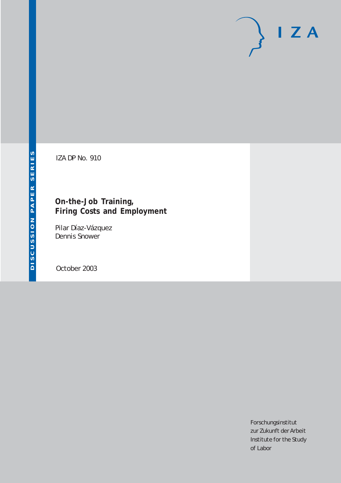# $I Z A$

IZA DP No. 910

## **On-the-Job Training, Firing Costs and Employment**

Pilar Díaz-Vázquez Dennis Snower

October 2003

Forschungsinstitut zur Zukunft der Arbeit Institute for the Study of Labor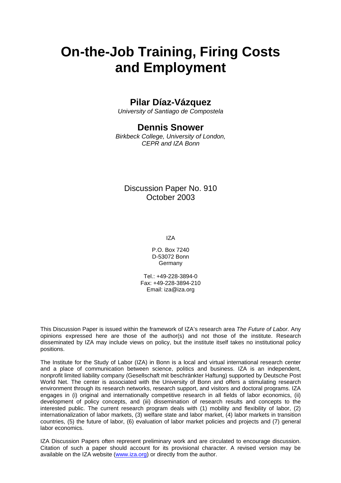# **On-the-Job Training, Firing Costs and Employment**

## **Pilar Díaz-Vázquez**

*University of Santiago de Compostela* 

## **Dennis Snower**

*Birkbeck College, University of London, CEPR and IZA Bonn*

## Discussion Paper No. 910 October 2003

IZA

P.O. Box 7240 D-53072 Bonn **Germany** 

Tel.: +49-228-3894-0 Fax: +49-228-3894-210 Email: [iza@iza.org](mailto:iza@iza.org)

This Discussion Paper is issued within the framework of IZA's research area *The Future of Labor.* Any opinions expressed here are those of the author(s) and not those of the institute. Research disseminated by IZA may include views on policy, but the institute itself takes no institutional policy positions.

The Institute for the Study of Labor (IZA) in Bonn is a local and virtual international research center and a place of communication between science, politics and business. IZA is an independent, nonprofit limited liability company (Gesellschaft mit beschränkter Haftung) supported by Deutsche Post World Net. The center is associated with the University of Bonn and offers a stimulating research environment through its research networks, research support, and visitors and doctoral programs. IZA engages in (i) original and internationally competitive research in all fields of labor economics, (ii) development of policy concepts, and (iii) dissemination of research results and concepts to the interested public. The current research program deals with (1) mobility and flexibility of labor, (2) internationalization of labor markets, (3) welfare state and labor market, (4) labor markets in transition countries, (5) the future of labor, (6) evaluation of labor market policies and projects and (7) general labor economics.

IZA Discussion Papers often represent preliminary work and are circulated to encourage discussion. Citation of such a paper should account for its provisional character. A revised version may be available on the IZA website ([www.iza.org](http://www.iza.org/)) or directly from the author.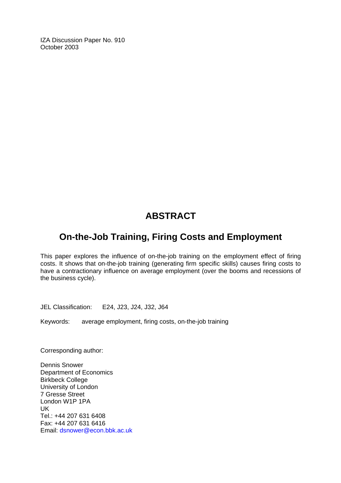IZA Discussion Paper No. 910 October 2003

## **ABSTRACT**

## **On-the-Job Training, Firing Costs and Employment**

This paper explores the influence of on-the-job training on the employment effect of firing costs. It shows that on-the-job training (generating firm specific skills) causes firing costs to have a contractionary influence on average employment (over the booms and recessions of the business cycle).

JEL Classification: E24, J23, J24, J32, J64

Keywords: average employment, firing costs, on-the-job training

Corresponding author:

Dennis Snower Department of Economics Birkbeck College University of London 7 Gresse Street London W1P 1PA UK Tel.: +44 207 631 6408 Fax: +44 207 631 6416 Email: dsnower@econ.bbk.ac.uk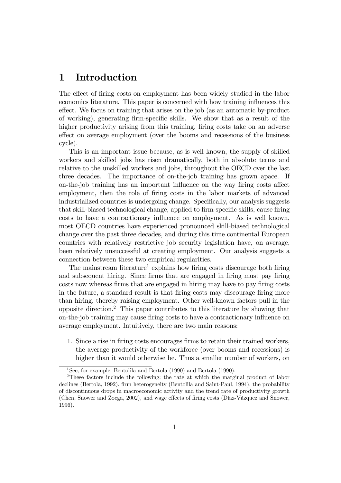## 1 Introduction

The effect of firing costs on employment has been widely studied in the labor economics literature. This paper is concerned with how training influences this effect. We focus on training that arises on the job (as an automatic by-product of working), generating firm-specific skills. We show that as a result of the higher productivity arising from this training, firing costs take on an adverse effect on average employment (over the booms and recessions of the business cycle).

This is an important issue because, as is well known, the supply of skilled workers and skilled jobs has risen dramatically, both in absolute terms and relative to the unskilled workers and jobs, throughout the OECD over the last three decades. The importance of on-the-job training has grown apace. If on-the-job training has an important influence on the way firing costs affect employment, then the role of firing costs in the labor markets of advanced industrialized countries is undergoing change. Specifically, our analysis suggests that skill-biased technological change, applied to firm-specific skills, cause firing costs to have a contractionary influence on employment. As is well known, most OECD countries have experienced pronounced skill-biased technological change over the past three decades, and during this time continental European countries with relatively restrictive job security legislation have, on average, been relatively unsuccessful at creating employment. Our analysis suggests a connection between these two empirical regularities.

The mainstream literature<sup>1</sup> explains how firing costs discourage both firing and subsequent hiring. Since firms that are engaged in firing must pay firing costs now whereas firms that are engaged in hiring may have to pay firing costs in the future, a standard result is that firing costs may discourage firing more than hiring, thereby raising employment. Other well-known factors pull in the opposite direction.2 This paper contributes to this literature by showing that on-the-job training may cause firing costs to have a contractionary influence on average employment. Intuitively, there are two main reasons:

1. Since a rise in firing costs encourages firms to retain their trained workers, the average productivity of the workforce (over booms and recessions) is higher than it would otherwise be. Thus a smaller number of workers, on

<sup>&</sup>lt;sup>1</sup>See, for example, Bentolila and Bertola  $(1990)$  and Bertola  $(1990)$ .

<sup>&</sup>lt;sup>2</sup>These factors include the following: the rate at which the marginal product of labor declines (Bertola, 1992), firm heterogeneity (Bentolila and Saint-Paul, 1994), the probability of discontinuous drops in macroeconomic activity and the trend rate of productivity growth (Chen, Snower and Zoega, 2002), and wage effects of firing costs (Díaz-Vázquez and Snower, 1996).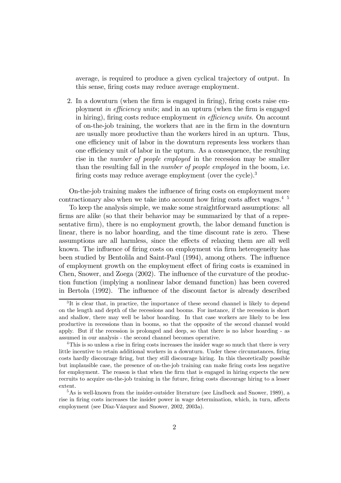average, is required to produce a given cyclical trajectory of output. In this sense, firing costs may reduce average employment.

2. In a downturn (when the firm is engaged in firing), firing costs raise employment in efficiency units; and in an upturn (when the firm is engaged in hiring), firing costs reduce employment in efficiency units. On account of on-the-job training, the workers that are in the firm in the downturn are usually more productive than the workers hired in an upturn. Thus, one efficiency unit of labor in the downturn represents less workers than one efficiency unit of labor in the upturn. As a consequence, the resulting rise in the *number of people employed* in the recession may be smaller than the resulting fall in the number of people employed in the boom, i.e. firing costs may reduce average employment (over the cycle).<sup>3</sup>

On-the-job training makes the influence of firing costs on employment more contractionary also when we take into account how firing costs affect wages.<sup>4</sup> <sup>5</sup>

To keep the analysis simple, we make some straightforward assumptions: all firms are alike (so that their behavior may be summarized by that of a representative firm), there is no employment growth, the labor demand function is linear, there is no labor hoarding, and the time discount rate is zero. These assumptions are all harmless, since the effects of relaxing them are all well known. The influence of firing costs on employment via firm heterogeneity has been studied by Bentolila and Saint-Paul (1994), among others. The influence of employment growth on the employment effect of firing costs is examined in Chen, Snower, and Zoega (2002). The influence of the curvature of the production function (implying a nonlinear labor demand function) has been covered in Bertola (1992). The influence of the discount factor is already described

<sup>3</sup> It is clear that, in practice, the importance of these second channel is likely to depend on the length and depth of the recessions and booms. For instance, if the recession is short and shallow, there may well be labor hoarding. In that case workers are likely to be less productive in recessions than in booms, so that the opposite of the second channel would apply. But if the recession is prolonged and deep, so that there is no labor hoarding - as assumed in our analysis - the second channel becomes operative.

<sup>&</sup>lt;sup>4</sup>This is so unless a rise in firing costs increases the insider wage so much that there is very little incentive to retain additional workers in a downturn. Under these circumstances, firing costs hardly discourage firing, but they still discourage hiring. In this theoretically possible but implausible case, the presence of on-the-job training can make firing costs less negative for employment. The reason is that when the firm that is engaged in hiring expects the new recruits to acquire on-the-job training in the future, firing costs discourage hiring to a lesser extent.

<sup>&</sup>lt;sup>5</sup>As is well-known from the insider-outsider literature (see Lindbeck and Snower, 1989), a rise in firing costs increases the insider power in wage determination, which, in turn, affects employment (see Díaz-Vázquez and Snower, 2002, 2003a).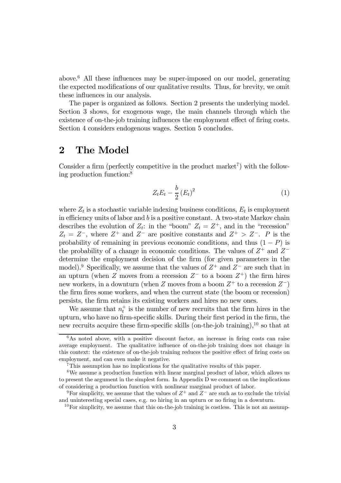above.<sup>6</sup> All these influences may be super-imposed on our model, generating the expected modifications of our qualitative results. Thus, for brevity, we omit these influences in our analysis.

The paper is organized as follows. Section 2 presents the underlying model. Section 3 shows, for exogenous wage, the main channels through which the existence of on-the-job training influences the employment effect of firing costs. Section 4 considers endogenous wages. Section 5 concludes.

## 2 The Model

Consider a firm (perfectly competitive in the product market<sup>7</sup>) with the following production function:8

$$
Z_t E_t - \frac{b}{2} \left( E_t \right)^2 \tag{1}
$$

where  $Z_t$  is a stochastic variable indexing business conditions,  $E_t$  is employment in efficiency units of labor and  $b$  is a positive constant. A two-state Markov chain describes the evolution of  $Z_t$ : in the "boom"  $Z_t = Z^+$ , and in the "recession"  $Z_t = Z^-$ , where  $Z^+$  and  $Z^-$  are positive constants and  $Z^+ > Z^-$ . P is the probability of remaining in previous economic conditions, and thus  $(1 - P)$  is the probability of a change in economic conditions. The values of  $Z^+$  and  $Z^$ determine the employment decision of the firm (for given parameters in the model).<sup>9</sup> Specifically, we assume that the values of  $Z^+$  and  $Z^-$  are such that in an upturn (when Z moves from a recession  $Z^-$  to a boom  $Z^+$ ) the firm hires new workers, in a downturn (when Z moves from a boom  $Z^+$  to a recession  $Z^-$ ) the firm fires some workers, and when the current state (the boom or recession) persists, the firm retains its existing workers and hires no new ones.

We assume that  $n_t^+$  is the number of new recruits that the firm hires in the upturn, who have no firm-specific skills. During their first period in the firm, the new recruits acquire these firm-specific skills (on-the-job training),10 so that at

 $6$ As noted above, with a positive discount factor, an increase in firing costs can raise average employment. The qualitative influence of on-the-job training does not change in this context: the existence of on-the-job training reduces the positive effect of firing costs on employment, and can even make it negative.

<sup>7</sup>This assumption has no implications for the qualitative results of this paper.

<sup>8</sup>We assume a production function with linear marginal product of labor, which allows us to present the argument in the simplest form. In Appendix D we comment on the implications of considering a production function with nonlinear marginal product of labor.

<sup>&</sup>lt;sup>9</sup>For simplicity, we assume that the values of  $Z^+$  and  $Z^-$  are such as to exclude the trivial and uninteresting special cases, e.g. no hiring in an upturn or no firing in a downturn.

 $10$  For simplicity, we assume that this on-the-job training is costless. This is not an assump-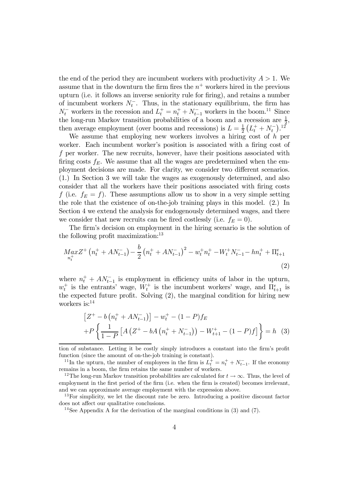the end of the period they are incumbent workers with productivity  $A > 1$ . We assume that in the downturn the firm fires the  $n^+$  workers hired in the previous upturn (i.e. it follows an inverse seniority rule for firing), and retains a number of incumbent workers  $N_t^-$ . Thus, in the stationary equilibrium, the firm has  $N_t^-$  workers in the recession and  $L_t^+ = n_t^+ + N_{t-1}^-$  workers in the boom.<sup>11</sup> Since the long-run Markov transition probabilities of a boom and a recession are  $\frac{1}{2}$ , then average employment (over booms and recessions) is  $L = \frac{1}{2} (L_t^+ + N_t^-)^{12}$ 

We assume that employing new workers involves a hiring cost of  $h$  per worker. Each incumbent worker's position is associated with a firing cost of f per worker. The new recruits, however, have their positions associated with firing costs  $f_E$ . We assume that all the wages are predetermined when the employment decisions are made. For clarity, we consider two different scenarios. (1.) In Section 3 we will take the wages as exogenously determined, and also consider that all the workers have their positions associated with firing costs f (i.e.  $f_E = f$ ). These assumptions allow us to show in a very simple setting the role that the existence of on-the-job training plays in this model. (2.) In Section 4 we extend the analysis for endogenously determined wages, and there we consider that new recruits can be fired costlessly (i.e.  $f_E = 0$ ).

The firm's decision on employment in the hiring scenario is the solution of the following profit maximization: $13$ 

$$
M_{n_t^+} a x Z^+ (n_t^+ + A N_{t-1}^-) - \frac{b}{2} (n_t^+ + A N_{t-1}^-)^2 - w_t^+ n_t^+ - W_t^+ N_{t-1}^- - h n_t^+ + \Pi_{t+1}^e
$$
\n(2)

where  $n_t^+ + AN_{t-1}^-$  is employment in efficiency units of labor in the upturn,  $w_t^+$  is the entrants' wage,  $W_t^+$  is the incumbent workers' wage, and  $\Pi_{t+1}^e$  is the expected future profit. Solving (2), the marginal condition for hiring new workers is:<sup>14</sup>

$$
\[Z^+ - b\left(n_t^+ + A N_{t-1}^-\right)\] - w_t^+ - (1 - P)f_E
$$
  
+
$$
P\left\{\frac{1}{1 - P}\left[A\left(Z^+ - bA\left(n_t^+ + N_{t-1}^-\right)\right) - W_{t+1}^+ - (1 - P)f\right]\right\} = h \tag{3}
$$

tion of substance. Letting it be costly simply introduces a constant into the firm's profit function (since the amount of on-the-job training is constant).

<sup>&</sup>lt;sup>11</sup>In the upturn, the number of employees in the firm is  $L_t^+ = n_t^+ + N_{t-1}^-$ . If the economy remains in a boom, the firm retains the same number of workers.

<sup>&</sup>lt;sup>12</sup>The long-run Markov transition probabilities are calculated for  $t \to \infty$ . Thus, the level of employment in the first period of the firm (i.e. when the firm is created) becomes irrelevant, and we can approximate average employment with the expression above.

<sup>&</sup>lt;sup>13</sup>For simplicity, we let the discount rate be zero. Introducing a positive discount factor does not affect our qualitative conclusions.

<sup>&</sup>lt;sup>14</sup>See Appendix A for the derivation of the marginal conditions in (3) and (7).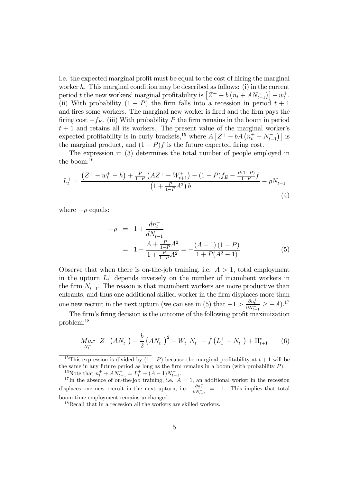i.e. the expected marginal profit must be equal to the cost of hiring the marginal worker h. This marginal condition may be described as follows: (i) in the current period t the new workers' marginal profitability is  $[Z^+ - b (n_t + AN_{t-1}^-)] - w_t^+$ . (ii) With probability  $(1 - P)$  the firm falls into a recession in period  $t + 1$ and fires some workers. The marginal new worker is fired and the firm pays the firing cost  $-f_E$ . (iii) With probability P the firm remains in the boom in period  $t + 1$  and retains all its workers. The present value of the marginal worker's expected profitability is in curly brackets,<sup>15</sup> where  $A\left[ Z^+ - bA\left(n_t^+ + N_{t-1}^-\right) \right]$  is the marginal product, and  $(1 - P)f$  is the future expected firing cost.

The expression in (3) determines the total number of people employed in the boom: $16$ 

$$
L_t^+ = \frac{\left(Z^+ - w_t^+ - h\right) + \frac{P}{1 - P}\left(AZ^+ - W_{t+1}^+\right) - (1 - P)f_E - \frac{P(1 - P)}{1 - P}f}{\left(1 + \frac{P}{1 - P}A^2\right)b} - \rho N_{t-1}^- \tag{4}
$$

where  $-\rho$  equals:

$$
-\rho = 1 + \frac{dn_t^+}{dN_{t-1}^-}
$$
  
= 
$$
1 - \frac{A + \frac{P}{1-P}A^2}{1 + \frac{P}{1-P}A^2} = -\frac{(A-1)(1-P)}{1+P(A^2-1)}
$$
 (5)

Observe that when there is on-the-job training, i.e.  $A > 1$ , total employment in the upturn  $L_t^+$  depends inversely on the number of incumbent workers in the firm  $N_{t-1}^-$ . The reason is that incumbent workers are more productive than entrants, and thus one additional skilled worker in the firm displaces more than one new recruit in the next upturn (we can see in (5) that  $-1 > \frac{\partial n_t^+}{\partial N_{t-1}^-} \ge -A$ .<sup>17</sup>

The firm's firing decision is the outcome of the following profit maximization problem:18

$$
\underset{N_t^-}{Max} \quad Z^- \left( A N_t^- \right) - \frac{b}{2} \left( A N_t^- \right)^2 - W_t^- N_t^- - f \left( L_1^+ - N_t^- \right) + \Pi_{t+1}^e \tag{6}
$$

<sup>15</sup>This expression is divided by  $(1 - P)$  because the marginal profitability at  $t + 1$  will be the same in any future period as long as the firm remains in a boom (with probability  $P$ ).

<sup>16</sup>Note that  $n_t^+ + AN_{t-1}^- = L_t^+ + (A-1)N_{t-1}^-$ 

<sup>17</sup>In the absence of on-the-job training, i.e.  $A = 1$ , an additional worker in the recession displaces one new recruit in the next upturn, i.e.  $\frac{\partial n_t^+}{\partial N_{t-1}^-} = -1$ . This implies that total boom-time employment remains unchanged.

<sup>18</sup>Recall that in a recession all the workers are skilled workers.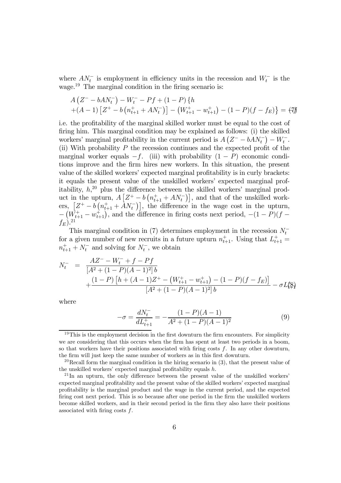where  $AN_t^-$  is employment in efficiency units in the recession and  $W_t^-$  is the wage.<sup>19</sup> The marginal condition in the firing scenario is:

$$
A (Z^- - bA N_t^-) - W_t^- - Pf + (1 - P) \{ h
$$
  
+ (A - 1) [Z<sup>+</sup> - b (n<sub>t+1</sub><sup>+</sup> + A N<sub>t</sub><sup>-</sup>)] - (W<sub>t+1</sub><sup>+</sup> - w<sub>t+1</sub><sup>+</sup>) - (1 - P)(f - f<sub>E</sub>) \} = (7<sup>†</sup>)

i.e. the profitability of the marginal skilled worker must be equal to the cost of firing him. This marginal condition may be explained as follows: (i) the skilled workers' marginal profitability in the current period is  $A(Z^- - bAN_t^-) - W_t^-$ . (ii) With probability  $P$  the recession continues and the expected profit of the marginal worker equals  $-f.$  (iii) with probability  $(1 - P)$  economic conditions improve and the firm hires new workers. In this situation, the present value of the skilled workers' expected marginal profitability is in curly brackets: it equals the present value of the unskilled workers' expected marginal profitability,  $h,^{20}$  plus the difference between the skilled workers' marginal product in the upturn,  $A\left[Z^+ - b\left(n_{t+1}^+ + A N_t^-\right)\right]$ , and that of the unskilled workers,  $[Z^+ - b(n_{t+1}^+ + AN_t^-)]$ , the difference in the wage cost in the upturn,  $-\left(W_{t+1}^+ - W_{t+1}^+\right)$ , and the difference in firing costs next period,  $-(1 - P)(f (f_E)$ .<sup>21</sup>

This marginal condition in (7) determines employment in the recession  $N_t^$ for a given number of new recruits in a future upturn  $n_{t+1}^+$ . Using that  $L_{t+1}^+$  $n_{t+1}^+ + N_t^-$  and solving for  $N_t^-$ , we obtain

$$
N_t^- = \frac{AZ^- - W_t^- + f - Pf}{[A^2 + (1 - P)(A - 1)^2]b} + \frac{(1 - P)[h + (A - 1)Z^+ - (W_{t+1}^+ - w_{t+1}^+) - (1 - P)(f - f_E)]}{[A^2 + (1 - P)(A - 1)^2]b} - \sigma L_t^4\}
$$

where

$$
-\sigma = \frac{dN_t^-}{dL_{t+1}^+} = -\frac{(1-P)(A-1)}{A^2 + (1-P)(A-1)^2}
$$
(9)

 $19$ This is the employment decision in the first downturn the firm encounters. For simplicity we are considering that this occurs when the firm has spent at least two periods in a boom, so that workers have their positions associated with firing costs  $f$ . In any other downturn, the firm will just keep the same number of workers as in this first downturn.

<sup>&</sup>lt;sup>20</sup>Recall form the marginal condition in the hiring scenario in  $(3)$ , that the present value of the unskilled workers' expected marginal profitability equals h.

 $21$ In an upturn, the only difference between the present value of the unskilled workers' expected marginal profitability and the present value of the skilled workers' expected marginal profitability is the marginal product and the wage in the current period, and the expected firing cost next period. This is so because after one period in the firm the unskilled workers become skilled workers, and in their second period in the firm they also have their positions associated with firing costs f.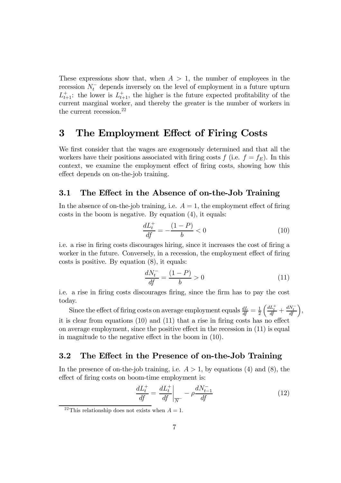These expressions show that, when  $A > 1$ , the number of employees in the recession  $N_t^-$  depends inversely on the level of employment in a future upturn  $L_{t+1}^+$ : the lower is  $L_{t+1}^+$ , the higher is the future expected profitability of the current marginal worker, and thereby the greater is the number of workers in the current recession.<sup>22</sup>

## 3 The Employment Effect of Firing Costs

We first consider that the wages are exogenously determined and that all the workers have their positions associated with firing costs  $f$  (i.e.  $f = f_E$ ). In this context, we examine the employment effect of firing costs, showing how this effect depends on on-the-job training.

#### 3.1 The Effect in the Absence of on-the-Job Training

In the absence of on-the-job training, i.e.  $A = 1$ , the employment effect of firing costs in the boom is negative. By equation (4), it equals:

$$
\frac{dL_t^+}{df} = -\frac{(1 - P)}{b} < 0\tag{10}
$$

i.e. a rise in firing costs discourages hiring, since it increases the cost of firing a worker in the future. Conversely, in a recession, the employment effect of firing costs is positive. By equation (8), it equals:

$$
\frac{dN_t^-}{df} = \frac{(1 - P)}{b} > 0\tag{11}
$$

i.e. a rise in firing costs discourages firing, since the firm has to pay the cost today.

Since the effect of firing costs on average employment equals  $\frac{dL}{df} = \frac{1}{2}$  $\left(\frac{dL_t^+}{df} + \frac{dN_t^-}{df}\right),$ it is clear from equations (10) and (11) that a rise in firing costs has no effect on average employment, since the positive effect in the recession in (11) is equal in magnitude to the negative effect in the boom in (10).

#### 3.2 The Effect in the Presence of on-the-Job Training

In the presence of on-the-job training, i.e.  $A > 1$ , by equations (4) and (8), the effect of firing costs on boom-time employment is:

$$
\frac{dL_t^+}{df} = \frac{dL_t^+}{df}\bigg|_{\overline{N}^-} - \rho \frac{dN_{t-1}^-}{df} \tag{12}
$$

<sup>&</sup>lt;sup>22</sup>This relationship does not exists when  $A = 1$ .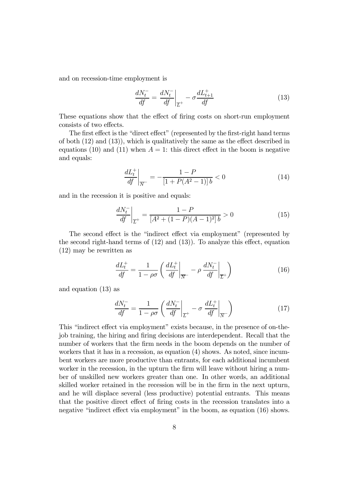and on recession-time employment is

$$
\frac{dN_t^-}{df} = \frac{dN_t^-}{df}\bigg|_{\overline{L}^+} - \sigma \frac{dL_{t+1}^+}{df} \tag{13}
$$

These equations show that the effect of firing costs on short-run employment consists of two effects.

The first effect is the "direct effect" (represented by the first-right hand terms of both (12) and (13)), which is qualitatively the same as the effect described in equations (10) and (11) when  $A = 1$ : this direct effect in the boom is negative and equals:

$$
\left. \frac{dL_t^+}{df} \right|_{\overline{N}^-} = -\frac{1 - P}{[1 + P(A^2 - 1)]b} < 0 \tag{14}
$$

and in the recession it is positive and equals:

$$
\left. \frac{dN_t^-}{df} \right|_{\overline{L}^+} = \frac{1 - P}{[A^2 + (1 - P)(A - 1)^2]b} > 0 \tag{15}
$$

The second effect is the "indirect effect via employment" (represented by the second right-hand terms of (12) and (13)). To analyze this effect, equation (12) may be rewritten as

$$
\frac{dL_t^+}{df} = \frac{1}{1 - \rho \sigma} \left( \frac{dL_t^+}{df} \bigg|_{\overline{N}^-} - \rho \frac{dN_t^-}{df} \bigg|_{\overline{L}^+} \right) \tag{16}
$$

and equation (13) as

$$
\frac{dN_t^-}{df} = \frac{1}{1 - \rho \sigma} \left( \frac{dN_t^-}{df} \bigg|_{\overline{L}^+} - \sigma \frac{dL_t^+}{df} \bigg|_{\overline{N}^-} \right) \tag{17}
$$

This "indirect effect via employment" exists because, in the presence of on-thejob training, the hiring and firing decisions are interdependent. Recall that the number of workers that the firm needs in the boom depends on the number of workers that it has in a recession, as equation (4) shows. As noted, since incumbent workers are more productive than entrants, for each additional incumbent worker in the recession, in the upturn the firm will leave without hiring a number of unskilled new workers greater than one. In other words, an additional skilled worker retained in the recession will be in the firm in the next upturn, and he will displace several (less productive) potential entrants. This means that the positive direct effect of firing costs in the recession translates into a negative "indirect effect via employment" in the boom, as equation (16) shows.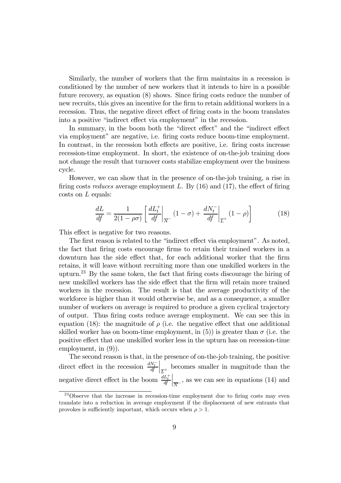Similarly, the number of workers that the firm maintains in a recession is conditioned by the number of new workers that it intends to hire in a possible future recovery, as equation (8) shows. Since firing costs reduce the number of new recruits, this gives an incentive for the firm to retain additional workers in a recession. Thus, the negative direct effect of firing costs in the boom translates into a positive "indirect effect via employment" in the recession.

In summary, in the boom both the "direct effect" and the "indirect effect via employment" are negative, i.e. firing costs reduce boom-time employment. In contrast, in the recession both effects are positive, i.e. firing costs increase recession-time employment. In short, the existence of on-the-job training does not change the result that turnover costs stabilize employment over the business cycle.

However, we can show that in the presence of on-the-job training, a rise in firing costs *reduces* average employment  $L$ . By  $(16)$  and  $(17)$ , the effect of firing costs on L equals:

$$
\frac{dL}{df} = \frac{1}{2(1-\rho\sigma)} \left[ \frac{dL_t^+}{df} \bigg|_{\overline{N}^-} (1-\sigma) + \frac{dN_t^-}{df} \bigg|_{\overline{L}^+} (1-\rho) \right] \tag{18}
$$

This effect is negative for two reasons.

The first reason is related to the "indirect effect via employment". As noted, the fact that firing costs encourage firms to retain their trained workers in a downturn has the side effect that, for each additional worker that the firm retains, it will leave without recruiting more than one unskilled workers in the upturn.23 By the same token, the fact that firing costs discourage the hiring of new unskilled workers has the side effect that the firm will retain more trained workers in the recession. The result is that the average productivity of the workforce is higher than it would otherwise be, and as a consequence, a smaller number of workers on average is required to produce a given cyclical trajectory of output. Thus firing costs reduce average employment. We can see this in equation (18): the magnitude of  $\rho$  (i.e. the negative effect that one additional skilled worker has on boom-time employment, in (5)) is greater than  $\sigma$  (i.e. the positive effect that one unskilled worker less in the upturn has on recession-time employment, in (9)).

The second reason is that, in the presence of on-the-job training, the positive direct effect in the recession  $\frac{dN_t^-}{dt}$  $\frac{1}{L^+}$  becomes smaller in magnitude than the negative direct effect in the boom  $\frac{dL_t^+}{dt}$  $\left\vert_{\overline{N}}\right\vert$ , as we can see in equations (14) and

<sup>23</sup>Observe that the increase in recession-time employment due to firing costs may even translate into a reduction in average employment if the displacement of new entrants that provokes is sufficiently important, which occurs when  $\rho > 1$ .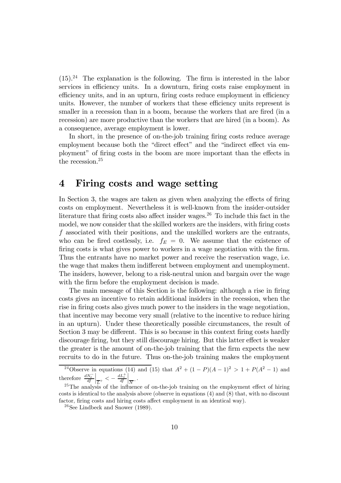$(15).<sup>24</sup>$  The explanation is the following. The firm is interested in the labor services in efficiency units. In a downturn, firing costs raise employment in efficiency units, and in an upturn, firing costs reduce employment in efficiency units. However, the number of workers that these efficiency units represent is smaller in a recession than in a boom, because the workers that are fired (in a recession) are more productive than the workers that are hired (in a boom). As a consequence, average employment is lower.

In short, in the presence of on-the-job training firing costs reduce average employment because both the "direct effect" and the "indirect effect via employment" of firing costs in the boom are more important than the effects in the recession.<sup>25</sup>

#### 4 Firing costs and wage setting

In Section 3, the wages are taken as given when analyzing the effects of firing costs on employment. Nevertheless it is well-known from the insider-outsider literature that firing costs also affect insider wages.<sup>26</sup> To include this fact in the model, we now consider that the skilled workers are the insiders, with firing costs f associated with their positions, and the unskilled workers are the entrants, who can be fired costlessly, i.e.  $f_E = 0$ . We assume that the existence of firing costs is what gives power to workers in a wage negotiation with the firm. Thus the entrants have no market power and receive the reservation wage, i.e. the wage that makes them indifferent between employment and unemployment. The insiders, however, belong to a risk-neutral union and bargain over the wage with the firm before the employment decision is made.

The main message of this Section is the following: although a rise in firing costs gives an incentive to retain additional insiders in the recession, when the rise in firing costs also gives much power to the insiders in the wage negotiation, that incentive may become very small (relative to the incentive to reduce hiring in an upturn). Under these theoretically possible circumstances, the result of Section 3 may be different. This is so because in this context firing costs hardly discourage firing, but they still discourage hiring. But this latter effect is weaker the greater is the amount of on-the-job training that the firm expects the new recruits to do in the future. Thus on-the-job training makes the employment

<sup>&</sup>lt;sup>24</sup>Observe in equations (14) and (15) that  $A^2 + (1 - P)(A - 1)^2 > 1 + P(A^2 - 1)$  and therefore  $\frac{dN_t^-}{df}$  $\left| \frac{dL_t^+}{L^+} \right| < - \frac{dL_t^+}{df}$  $\left| \frac{1}{N} \right|$ .

 $^{25}$ The analysis of the influence of on-the-job training on the employment effect of hiring costs is identical to the analysis above (observe in equations (4) and (8) that, with no discount factor, firing costs and hiring costs affect employment in an identical way).

 $26$ See Lindbeck and Snower (1989).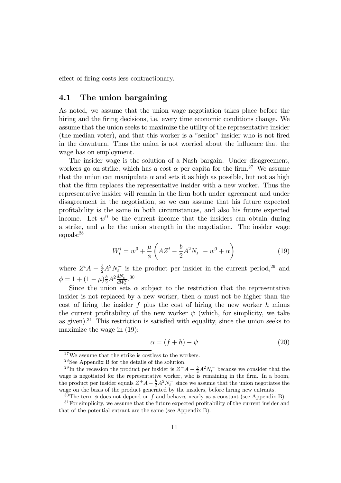effect of firing costs less contractionary.

#### 4.1 The union bargaining

As noted, we assume that the union wage negotiation takes place before the hiring and the firing decisions, i.e. every time economic conditions change. We assume that the union seeks to maximize the utility of the representative insider (the median voter), and that this worker is a "senior" insider who is not fired in the downturn. Thus the union is not worried about the influence that the wage has on employment.

The insider wage is the solution of a Nash bargain. Under disagreement, workers go on strike, which has a cost  $\alpha$  per capita for the firm.<sup>27</sup> We assume that the union can manipulate  $\alpha$  and sets it as high as possible, but not as high that the firm replaces the representative insider with a new worker. Thus the representative insider will remain in the firm both under agreement and under disagreement in the negotiation, so we can assume that his future expected profitability is the same in both circumstances, and also his future expected income. Let  $w^0$  be the current income that the insiders can obtain during a strike, and  $\mu$  be the union strength in the negotiation. The insider wage equals:28

$$
W_t^i = w^0 + \frac{\mu}{\phi} \left( A Z^i - \frac{b}{2} A^2 N_t^- - w^0 + \alpha \right)
$$
 (19)

where  $Z^{i}A - \frac{b}{2}A^{2}N_{t}^{-}$  is the product per insider in the current period,<sup>29</sup> and  $\phi = 1 + (1-\mu)\frac{b}{2}A^2\frac{dN_t^-}{dW_t^i}.$ <sup>30</sup>

Since the union sets  $\alpha$  subject to the restriction that the representative insider is not replaced by a new worker, then  $\alpha$  must not be higher than the cost of firing the insider f plus the cost of hiring the new worker  $h$  minus the current profitability of the new worker  $\psi$  (which, for simplicity, we take as given).<sup>31</sup> This restriction is satisfied with equality, since the union seeks to maximize the wage in (19):

$$
\alpha = (f + h) - \psi \tag{20}
$$

 $27$ We assume that the strike is costless to the workers.

<sup>28</sup>See Appendix B for the details of the solution.

<sup>&</sup>lt;sup>29</sup>In the recession the product per insider is  $Z^-A - \frac{b}{2}A^2N_t^-$  because we consider that the wage is negotiated for the representative worker, who is remaining in the firm. In a boom, the product per insider equals  $Z^+A - \frac{b}{2}A^2N_t^-$  since we assume that the union negotiates the wage on the basis of the product generated by the insiders, before hiring new entrants.

<sup>&</sup>lt;sup>30</sup>The term  $\phi$  does not depend on f and behaves nearly as a constant (see Appendix B).

<sup>&</sup>lt;sup>31</sup>For simplicity, we assume that the future expected profitability of the current insider and that of the potential entrant are the same (see Appendix B).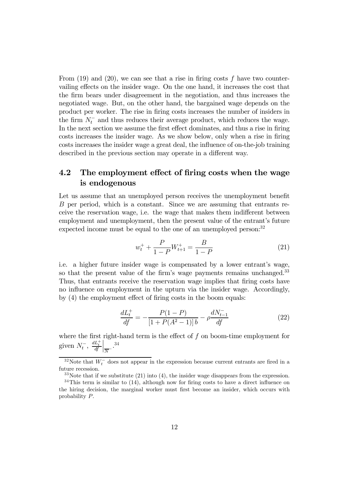From  $(19)$  and  $(20)$ , we can see that a rise in firing costs f have two countervailing effects on the insider wage. On the one hand, it increases the cost that the firm bears under disagreement in the negotiation, and thus increases the negotiated wage. But, on the other hand, the bargained wage depends on the product per worker. The rise in firing costs increases the number of insiders in the firm  $N_t^-$  and thus reduces their average product, which reduces the wage. In the next section we assume the first effect dominates, and thus a rise in firing costs increases the insider wage. As we show below, only when a rise in firing costs increases the insider wage a great deal, the influence of on-the-job training described in the previous section may operate in a different way.

## 4.2 The employment effect of firing costs when the wage is endogenous

Let us assume that an unemployed person receives the unemployment benefit B per period, which is a constant. Since we are assuming that entrants receive the reservation wage, i.e. the wage that makes them indifferent between employment and unemployment, then the present value of the entrant's future expected income must be equal to the one of an unemployed person:<sup>32</sup>

$$
w_t^+ + \frac{P}{1 - P} W_{t+1}^+ = \frac{B}{1 - P}
$$
 (21)

i.e. a higher future insider wage is compensated by a lower entrant's wage, so that the present value of the firm's wage payments remains unchanged.<sup>33</sup> Thus, that entrants receive the reservation wage implies that firing costs have no influence on employment in the upturn via the insider wage. Accordingly, by (4) the employment effect of firing costs in the boom equals:

$$
\frac{dL_t^+}{df} = -\frac{P(1-P)}{[1+P(A^2-1)]b} - \rho \frac{dN_{t-1}^-}{df}
$$
\n(22)

where the first right-hand term is the effect of  $f$  on boom-time employment for given  $N_t^-$ ,  $\frac{dL_t^+}{df}$  $\Big| \frac{34}{N} \Big|$ 

<sup>&</sup>lt;sup>32</sup>Note that  $W_t^-$  does not appear in the expression because current entrants are fired in a future recession.

 $33$ Note that if we substitute (21) into (4), the insider wage disappears from the expression.  $34$ This term is similar to (14), although now for firing costs to have a direct influence on the hiring decision, the marginal worker must first become an insider, which occurs with probability P.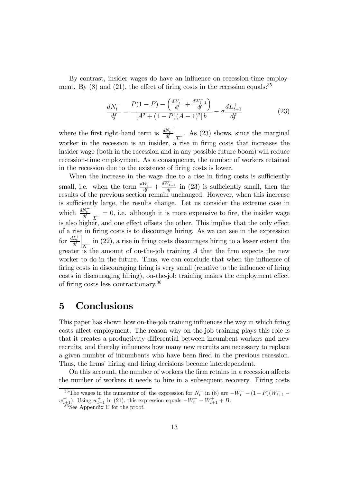By contrast, insider wages do have an influence on recession-time employment. By  $(8)$  and  $(21)$ , the effect of firing costs in the recession equals:  $35$ 

$$
\frac{dN_t^-}{df} = \frac{P(1-P) - \left(\frac{dW_t^-}{df} + \frac{dW_{t+1}^+}{df}\right)}{[A^2 + (1-P)(A-1)^2]b} - \sigma \frac{dL_{t+1}^+}{df}
$$
(23)

where the first right-hand term is  $\frac{dN_t^-}{dt}$  $\Big|_{\overline{L}^+}$ . As (23) shows, since the marginal worker in the recession is an insider, a rise in firing costs that increases the insider wage (both in the recession and in any possible future boom) will reduce recession-time employment. As a consequence, the number of workers retained in the recession due to the existence of firing costs is lower.

When the increase in the wage due to a rise in firing costs is sufficiently small, i.e. when the term  $\frac{dW_t^-}{df} + \frac{dW_{t+1}^+}{df}$  in (23) is sufficiently small, then the results of the previous section remain unchanged. However, when this increase is sufficiently large, the results change. Let us consider the extreme case in which  $\frac{dN_t^-}{dt}$  $\begin{bmatrix} 1 \ \overline{L}^+ = 0, \text{ i.e. } \text{although it is more expensive to fire, the inside range } \end{bmatrix}$ is also higher, and one effect offsets the other. This implies that the only effect of a rise in firing costs is to discourage hiring. As we can see in the expression for  $\frac{dL_t^+}{df}$  $\frac{1}{N^-}$  in (22), a rise in firing costs discourages hiring to a lesser extent the greater is the amount of on-the-job training A that the firm expects the new worker to do in the future. Thus, we can conclude that when the influence of firing costs in discouraging firing is very small (relative to the influence of firing costs in discouraging hiring), on-the-job training makes the employment effect of firing costs less contractionary.36

## 5 Conclusions

This paper has shown how on-the-job training influences the way in which firing costs affect employment. The reason why on-the-job training plays this role is that it creates a productivity differential between incumbent workers and new recruits, and thereby influences how many new recruits are necessary to replace a given number of incumbents who have been fired in the previous recession. Thus, the firms' hiring and firing decisions become interdependent.

On this account, the number of workers the firm retains in a recession affects the number of workers it needs to hire in a subsequent recovery. Firing costs

<sup>&</sup>lt;sup>35</sup>The wages in the numerator of the expression for  $N_t^-$  in (8) are  $-W_t^-$  –  $(1-P)(W_{t+1}^+$  –  $w_{t+1}^+$ ). Using  $w_{t+1}^+$  in (21), this expression equals  $-W_t^- - W_{t+1}^+ + B$ .<br><sup>36</sup>See Appendix C for the proof.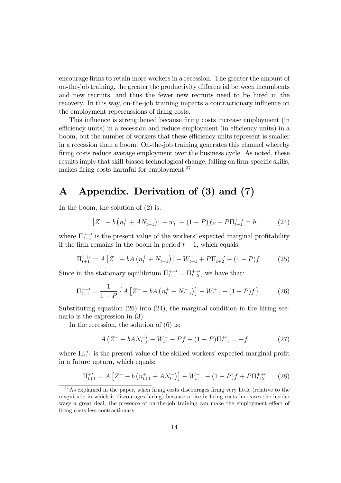encourage firms to retain more workers in a recession. The greater the amount of on-the-job training, the greater the productivity differential between incumbents and new recruits, and thus the fewer new recruits need to be hired in the recovery. In this way, on-the-job training imparts a contractionary influence on the employment repercussions of firing costs.

This influence is strengthened because firing costs increase employment (in efficiency units) in a recession and reduce employment (in efficiency units) in a boom, but the number of workers that these efficiency units represent is smaller in a recession than a boom. On-the-job training generates this channel whereby firing costs reduce average employment over the business cycle. As noted, these results imply that skill-biased technological change, falling on firm-specific skills, makes firing costs harmful for employment.37

## A Appendix. Derivation of (3) and (7)

In the boom, the solution of (2) is:

$$
\left[Z^{+} - b\left(n_{t}^{+} + A N_{t-1}^{-}\right)\right] - w_{t}^{+} - (1 - P)f_{E} + P\Pi_{t+1}^{++'} = h \tag{24}
$$

where  $\Pi_{t+1}^{++}$  is the present value of the workers' expected marginal profitability if the firm remains in the boom in period  $t + 1$ , which equals

$$
\Pi_{t+1}^{++} = A \left[ Z^+ - bA \left( n_t^+ + N_{t-1}^- \right) \right] - W_{t+1}^+ + P \Pi_{t+2}^{++} - (1 - P)f \tag{25}
$$

Since in the stationary equilibrium  $\Pi_{t+1}^{++'} = \Pi_{t+2}^{++'}$ , we have that:

$$
\Pi_{t+1}^{++'} = \frac{1}{1 - P} \left\{ A \left[ Z^+ - bA \left( n_t^+ + N_{t-1}^- \right) \right] - W_{t+1}^+ - (1 - P)f \right\} \tag{26}
$$

Substituting equation  $(26)$  into  $(24)$ , the marginal condition in the hiring scenario is the expression in (3).

In the recession, the solution of (6) is:

$$
A\left(Z^{-} - bA N_{t}^{-}\right) - W_{t}^{-} - Pf + (1 - P)\Pi_{t+1}^{+'} = -f \tag{27}
$$

where  $\Pi_{t+1}^{+\prime}$  is the present value of the skilled workers' expected marginal profit in a future upturn, which equals:

$$
\Pi_{t+1}^{+'} = A \left[ Z^+ - b \left( n_{t+1}^+ + A N_t^- \right) \right] - W_{t+1}^+ - (1 - P)f + P \Pi_{t+2}^{++'} \tag{28}
$$

<sup>&</sup>lt;sup>37</sup>As explained in the paper, when firing costs discourages firing very little (relative to the magnitude in which it discourages hiring) because a rise in firing costs increases the insider wage a great deal, the presence of on-the-job training can make the employment effect of firing costs less contractionary.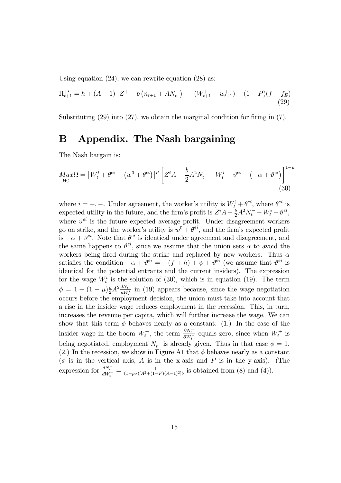Using equation (24), we can rewrite equation (28) as:

$$
\Pi_{t+1}^{+'} = h + (A - 1) \left[ Z^{+} - b \left( n_{t+1} + A N_{t}^{-} \right) \right] - (W_{t+1}^{+} - w_{t+1}^{+}) - (1 - P)(f - f_{E}) \tag{29}
$$

Substituting  $(29)$  into  $(27)$ , we obtain the marginal condition for firing in  $(7)$ .

## B Appendix. The Nash bargaining

The Nash bargain is:

$$
M_{W_t^i} \Omega = \left[ W_t^i + \theta^{ei} - \left( w^0 + \theta^{ei} \right) \right]^\mu \left[ Z^i A - \frac{b}{2} A^2 N_t^- - W_t^i + \theta^{ei} - \left( -\alpha + \theta^{ei} \right) \right]^{1-\mu}
$$
\n(30)

where  $i = +, -$ . Under agreement, the worker's utility is  $W_t^i + \theta^{ei}$ , where  $\theta^{ei}$  is expected utility in the future, and the firm's profit is  $Z^{i}A - \frac{b}{2}A^{2}N_{t}^{-} - W_{t}^{i} + \vartheta^{ei}$ , where  $\vartheta^{ei}$  is the future expected average profit. Under disagreement workers go on strike, and the worker's utility is  $w^0 + \theta^{ei}$ , and the firm's expected profit is  $-\alpha + \vartheta^{ei}$ . Note that  $\theta^{ei}$  is identical under agreement and disagreement, and the same happens to  $\vartheta^{ei}$ , since we assume that the union sets  $\alpha$  to avoid the workers being fired during the strike and replaced by new workers. Thus  $\alpha$ satisfies the condition  $-\alpha + \vartheta^{ei} = -(f+h) + \psi + \vartheta^{ei}$  (we assume that  $\vartheta^{ei}$  is identical for the potential entrants and the current insiders). The expression for the wage  $W_t^i$  is the solution of (30), which is in equation (19). The term  $\phi = 1 + (1 - \mu) \frac{b}{2} A^2 \frac{dN_t}{dW_t^i}$  in (19) appears because, since the wage negotiation occurs before the employment decision, the union must take into account that a rise in the insider wage reduces employment in the recession. This, in turn, increases the revenue per capita, which will further increase the wage. We can show that this term  $\phi$  behaves nearly as a constant: (1.) In the case of the insider wage in the boom  $W_t^+$ , the term  $\frac{\partial N_t^-}{\partial W_t^+}$  equals zero, since when  $W_t^+$  is being negotiated, employment  $N_t^-$  is already given. Thus in that case  $\phi = 1$ . (2.) In the recession, we show in Figure A1 that  $\phi$  behaves nearly as a constant  $(\phi$  is in the vertical axis, A is in the x-axis and P is in the y-axis). (The expression for  $\frac{dN_t^-}{dW_t^-} = \frac{-1}{(1-\rho\sigma)[A^2 + (1-P)(A-1)^2]b}$  is obtained from (8) and (4)).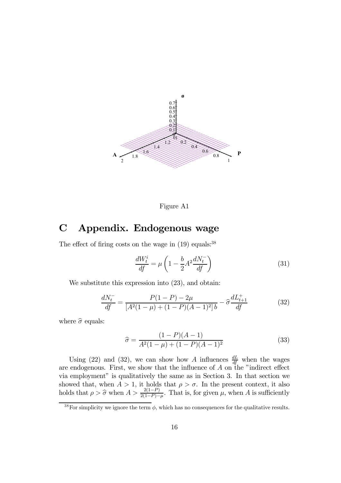

Figure A1

## C Appendix. Endogenous wage

The effect of firing costs on the wage in  $(19)$  equals:<sup>38</sup>

$$
\frac{dW_t^i}{df} = \mu \left( 1 - \frac{b}{2} A^2 \frac{dN_t^-}{df} \right) \tag{31}
$$

We substitute this expression into  $(23)$ , and obtain:

$$
\frac{dN_t^-}{df} = \frac{P(1-P) - 2\mu}{[A^2(1-\mu) + (1-P)(A-1)^2]b} - \hat{\sigma}\frac{dL_{t+1}^+}{df}
$$
(32)

where  $\hat{\sigma}$  equals:

$$
\hat{\sigma} = \frac{(1 - P)(A - 1)}{A^2 (1 - \mu) + (1 - P)(A - 1)^2}
$$
\n(33)

Using (22) and (32), we can show how A influences  $\frac{dL}{df}$  when the wages are endogenous. First, we show that the influence of  $A$  on the "indirect effect via employment" is qualitatively the same as in Section 3. In that section we showed that, when  $A > 1$ , it holds that  $\rho > \sigma$ . In the present context, it also holds that  $\rho > \hat{\sigma}$  when  $A > \frac{2(1-P)}{2(1-P)-\mu}$ . That is, for given  $\mu$ , when A is sufficiently

<sup>&</sup>lt;sup>38</sup>For simplicity we ignore the term  $\phi$ , which has no consequences for the qualitative results.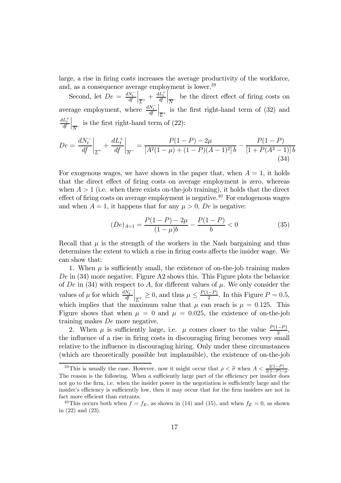large, a rise in firing costs increases the average productivity of the workforce, and, as a consequence average employment is lower.<sup>39</sup>

Second, let  $De = \frac{dN_t^-}{df}$  $\frac{dL_t^+}{dt} + \frac{dL_t^+}{df}$  $\Big|_{\overline{N}^-}$  be the direct effect of firing costs on average employment, where  $\frac{dN_t^-}{dt}$  $\Big|_{\overline{L}^+}$  is the first right-hand term of (32) and  $\frac{dL_t^+}{df}$  $\Big|_{\overline{N}^-}$  is the first right-hand term of (22):

$$
De = \frac{dN_t^-}{df}\bigg|_{\overline{L}^+} + \frac{dL_t^+}{df}\bigg|_{\overline{N}^-} = \frac{P(1-P) - 2\mu}{[A^2(1-\mu) + (1-P)(A-1)^2]b} - \frac{P(1-P)}{[1+P(A^2-1)]b}
$$
\n(34)

For exogenous wages, we have shown in the paper that, when  $A = 1$ , it holds that the direct effect of firing costs on average employment is zero, whereas when  $A > 1$  (i.e. when there exists on-the-job training), it holds that the direct effect of firing costs on average employment is negative.<sup>40</sup> For endogenous wages and when  $A = 1$ , it happens that for any  $\mu > 0$ , De is negative:

$$
(De)_{A=1} = \frac{P(1-P) - 2\mu}{(1-\mu)b} - \frac{P(1-P)}{b} < 0 \tag{35}
$$

Recall that  $\mu$  is the strength of the workers in the Nash bargaining and thus determines the extent to which a rise in firing costs affects the insider wage. We can show that:

1. When  $\mu$  is sufficiently small, the existence of on-the-job training makes De in (34) more negative. Figure A2 shows this. This Figure plots the behavior of De in (34) with respect to A, for different values of  $\mu$ . We only consider the values of  $\mu$  for which  $\frac{dN_t^-}{df}$  $\left| \frac{\overline{L}}{L^+}\right| \geq 0$ , and thus  $\mu \leq \frac{P(1-P)}{2}$ . In this Figure  $P = 0.5$ , which implies that the maximum value that  $\mu$  can reach is  $\mu = 0.125$ . This Figure shows that when  $\mu = 0$  and  $\mu = 0.025$ , the existence of on-the-job training makes De more negative.

2. When  $\mu$  is sufficiently large, i.e.  $\mu$  comes closer to the value  $\frac{P(1-P)}{2}$ , the influence of a rise in firing costs in discouraging firing becomes very small relative to the influence in discouraging hiring. Only under these circumstances (which are theoretically possible but implausible), the existence of on-the-job

<sup>&</sup>lt;sup>39</sup>This is usually the case. However, now it might occur that  $\rho < \hat{\sigma}$  when  $A < \frac{2(1-P)}{2(1-P)-\mu}$ . The reason is the following. When a sufficiently large part of the efficiency per insider does not go to the firm, i.e. when the insider power in the negotiation is sufficiently large and the insider's efficiency is sufficiently low, then it may occur that for the firm insiders are not in fact more efficient than entrants.

<sup>&</sup>lt;sup>40</sup>This occurs both when  $f = f_E$ , as shown in (14) and (15), and when  $f_E = 0$ , as shown in (22) and (23).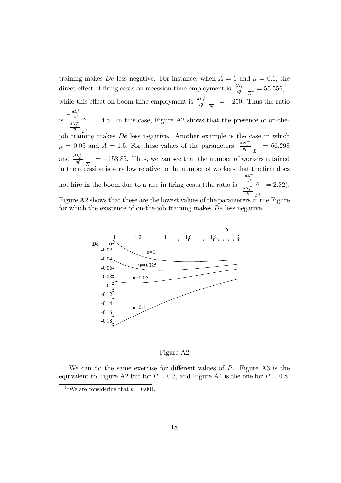training makes De less negative. For instance, when  $A = 1$  and  $\mu = 0.1$ , the direct effect of firing costs on recession-time employment is  $\frac{dN_t^-}{dt}$  $\Big|_{\overline{L}^+} = 55.556, ^{41}$ while this effect on boom-time employment is  $\frac{dL_t^+}{dt}$  $\Big|_{\overline{N}^-} = -250.$  Thus the ratio  $\frac{dL_t^+}{dt}$ <br>is  $\frac{dL_t^-}{dt}$  $\Big|_{\overline{N}^{-}}$  $\frac{dN_{t}^{-}}{df}$  $\Big|_{\overline{L}^+}$  $= 4.5$ . In this case, Figure A2 shows that the presence of on-thejob training makes De less negative. Another example is the case in which  $\mu = 0.05$  and  $A = 1.5$ . For these values of the parameters,  $\frac{dN_t^-}{dt}$  $\Big|_{\overline{L}^+} = 66.298$ and  $\frac{dL_t^+}{dt}$  $\left| \frac{1}{N} \right| = -153.85$ . Thus, we can see that the number of workers retained in the recession is very low relative to the number of workers that the firm does not hire in the boom due to a rise in firing costs (the ratio is  $\frac{-\frac{dL_t^+}{dt}}{dL}$  $\frac{1}{N}$  $\frac{dN_{t}^{-}}{df}$  $\Big|_{\overline{L}^+}$  $= 2.32$ . Figure A2 shows that these are the lowest values of the parameters in the Figure for which the existence of on-the-job training makes De less negative.



Figure A2

We can do the same exercise for different values of  $P$ . Figure A3 is the equivalent to Figure A2 but for  $P = 0.3$ , and Figure A4 is the one for  $P = 0.8$ .

<sup>&</sup>lt;sup>41</sup>We are considering that  $b = 0.001$ .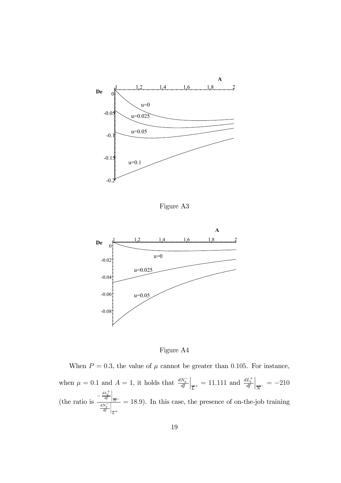

Figure A3



Figure A4

When  $P = 0.3$ , the value of  $\mu$  cannot be greater than 0.105. For instance, when  $\mu = 0.1$  and  $A = 1$ , it holds that  $\frac{dN_t^-}{dt}$  $\left| \frac{dL_t^+}{dt} \right| = 11.111$  and  $\frac{dL_t^+}{dt}$  $\Big|_{\overline{N}^-} = -210$ (the ratio is  $\frac{-\frac{dL_t^+}{dt}}{-\frac{dN^-}{dt}}$  $\left| \frac{1}{N} \right|$  $\frac{dN_{t}^{-}}{df}$  $\Big|_{\overline{L}^+}$  $= 18.9$ . In this case, the presence of on-the-job training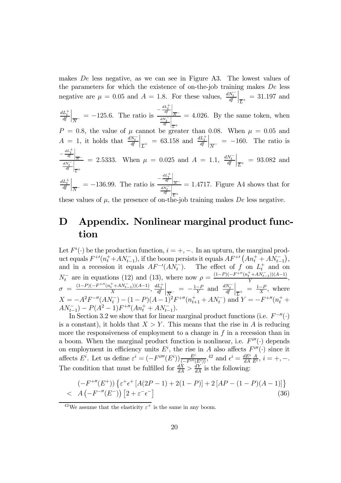makes De less negative, as we can see in Figure A3. The lowest values of the parameters for which the existence of on-the-job training makes De less negative are  $\mu = 0.05$  and  $A = 1.8$ . For these values,  $\frac{dN_t^-}{dt}$  $\Big|_{\overline{L}^{+}}$  = 31.197 and  $\frac{dL_t^+}{df}$  $\left| \frac{dL_t^+}{N} \right| = -125.6$ . The ratio is  $\frac{-\frac{dL_t^+}{dL}}{\frac{dN_t^-}{N}}$  $\left| \frac{1}{N} \right|$  $\frac{dN_{t}^{-}}{df}$  $\Big|_{\overline{L}^+}$  $= 4.026$ . By the same token, when  $P = 0.8$ , the value of  $\mu$  cannot be greater than 0.08. When  $\mu = 0.05$  and  $A = 1$ , it holds that  $\frac{dN_t^-}{df}$  $\Big|_{\overline{L}^+} = 63.158$  and  $\frac{dL_t^+}{df}$  $\Big|_{\overline{N}^-}$  = -160. The ratio is  $-\frac{dL_t^+}{df}$  $\Big|_{\overline{N}}$  $\frac{dN_{t}^{-}}{df}$  $\overline{\overline{\overline{}}}$  $^{\dagger}$  $\overline{L}^+$ = 2.5333. When  $\mu = 0.025$  and  $A = 1.1$ ,  $\frac{dN_t^-}{dt}$  $\Big|_{\overline{L}^+}$  = 93.082 and  $\frac{dL_t^+}{df}$  $\left| \frac{dL_t^+}{N} \right| = -136.99$ . The ratio is  $\frac{-\frac{dL_t^+}{df}}{\frac{dN_t^-}{N}}$  $\left| \frac{1}{N} \right|$  $\frac{dN_{t}^{-}}{df}$  $\left| \frac{1}{L} \right|$ these values of  $\mu$ , the presence of on-the-job training makes De less negative.  $= 1.4717$ . Figure A4 shows that for

## D Appendix. Nonlinear marginal product function

Let  $F^i(\cdot)$  be the production function,  $i = +, -$ . In an upturn, the marginal product equals  $F^{+}(n_t^+ + AN_{t-1}^-)$ , if the boom persists it equals  $AF^{+} (An_t^+ + AN_{t-1}^-)$ , and in a recession it equals  $AF^{-1}(AN_t^-)$ . The effect of f on  $L_t^+$  and on  $N_t^-$  are in equations (12) and (13), where now  $\rho = \frac{(1-P)(-F^{+\prime\prime}(n_t^+ + AN_{t-1}^-))(A-1)}{Y},$  $\sigma = \frac{(1-P)(-F^{+\prime\prime}(n_t^+ + A N_{t-1}^-))(A-1)}{X}, \frac{dL_t^+}{df}$  $\left| \frac{1}{N_{\circ}} \right| = -\frac{1-P}{Y}$  and  $\frac{dN_{t}^{-}}{df}$  $\Big|_{\overline{L}^+} = \frac{1-P}{X}$ , where  $X = -A^2 F^{-\prime\prime}(AN_t^-) - (1 - P)(A - 1)^2 F^{+\prime\prime}(n_{t+1}^+ + AN_t^-)$  and  $Y = -F^{+\prime\prime}(n_t^+ +$  $AN_{t-1}^-$  –  $P(A^2 - 1)F^{+\prime\prime}(An_t^+ + AN_{t-1}^-).$ 

In Section 3.2 we show that for linear marginal product functions (i.e.  $F^{-\prime\prime}(\cdot)$ is a constant), it holds that  $X>Y$ . This means that the rise in A is reducing more the responsiveness of employment to a change in  $f$  in a recession than in a boom. When the marginal product function is nonlinear, i.e.  $F^{i\prime\prime}(\cdot)$  depends on employment in efficiency units  $E^i$ , the rise in A also affects  $F^{i\prime\prime}(\cdot)$  since it affects  $E^i$ . Let us define  $\varepsilon^i = (-F^{i\prime\prime\prime}(E^i)) \frac{E^i}{\sqrt{F^{i\prime\prime}(E^i)}},$ <sup>42</sup> and  $\epsilon^i = \frac{dE^i}{dA}$  $\frac{A}{E^i}, i = +, -$ . The condition that must be fulfilled for  $\frac{dX}{dA} > \frac{dY}{dA}$  is the following:

$$
(-F^{+\prime\prime}(E^+))\left\{\varepsilon^+\epsilon^+\left[A(2P-1)+2(1-P)\right]+2\left[AP-(1-P)(A-1)\right]\right\}  $A\left(-F^{-\prime\prime}(E^-)\right)\left[2+\varepsilon^-\epsilon^-\right]$  (36)
$$

 $^{42}\mathrm{We}$  assume that the elasticity  $\varepsilon^+$  is the same in any boom.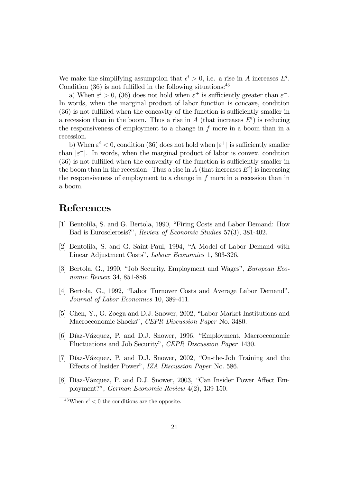We make the simplifying assumption that  $\epsilon^i > 0$ , i.e. a rise in A increases  $E^i$ . Condition  $(36)$  is not fulfilled in the following situations:  $43$ 

a) When  $\varepsilon^i > 0$ , (36) does not hold when  $\varepsilon^+$  is sufficiently greater than  $\varepsilon^-$ . In words, when the marginal product of labor function is concave, condition (36) is not fulfilled when the concavity of the function is sufficiently smaller in a recession than in the boom. Thus a rise in  $A$  (that increases  $E<sup>i</sup>$ ) is reducing the responsiveness of employment to a change in  $f$  more in a boom than in a recession.

b) When  $\varepsilon^i$  < 0, condition (36) does not hold when  $|\varepsilon^+|$  is sufficiently smaller than  $|\varepsilon^-|$ . In words, when the marginal product of labor is convex, condition (36) is not fulfilled when the convexity of the function is sufficiently smaller in the boom than in the recession. Thus a rise in  $A$  (that increases  $E<sup>i</sup>$ ) is increasing the responsiveness of employment to a change in f more in a recession than in a boom.

## References

- [1] Bentolila, S. and G. Bertola, 1990, "Firing Costs and Labor Demand: How Bad is Eurosclerosis?", Review of Economic Studies 57(3), 381-402.
- [2] Bentolila, S. and G. Saint-Paul, 1994, "A Model of Labor Demand with Linear Adjustment Costs", Labour Economics 1, 303-326.
- [3] Bertola, G., 1990, "Job Security, Employment and Wages", European Economic Review 34, 851-886.
- [4] Bertola, G., 1992, "Labor Turnover Costs and Average Labor Demand", Journal of Labor Economics 10, 389-411.
- [5] Chen, Y., G. Zoega and D.J. Snower, 2002, "Labor Market Institutions and Macroeconomic Shocks", CEPR Discussion Paper No. 3480.
- [6] Díaz-Vázquez, P. and D.J. Snower, 1996, "Employment, Macroeconomic Fluctuations and Job Security", CEPR Discussion Paper 1430.
- [7] Díaz-Vázquez, P. and D.J. Snower, 2002, "On-the-Job Training and the Effects of Insider Power", IZA Discussion Paper No. 586.
- [8] Díaz-Vázquez, P. and D.J. Snower, 2003, "Can Insider Power Affect Employment?", German Economic Review 4(2), 139-150.

<sup>&</sup>lt;sup>43</sup>When  $\epsilon^i$  < 0 the conditions are the opposite.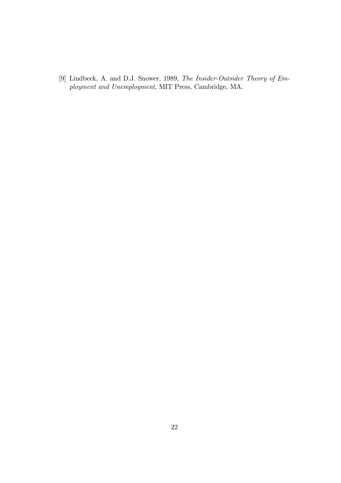[9] Lindbeck, A. and D.J. Snower, 1989, The Insider-Outsider Theory of Employment and Unemployment, MIT Press, Cambridge, MA.